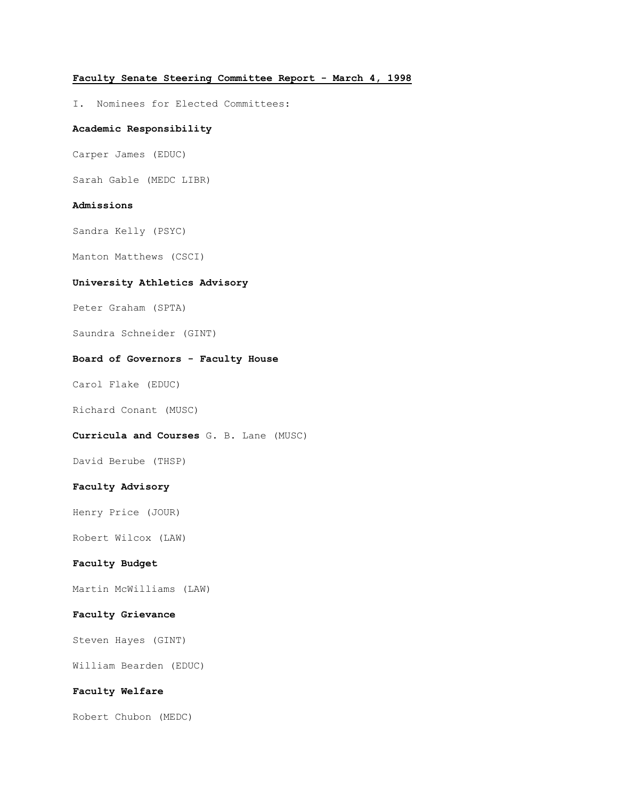# **Faculty Senate Steering Committee Report - March 4, 1998**

I. Nominees for Elected Committees:

### **Academic Responsibility**

Carper James (EDUC)

Sarah Gable (MEDC LIBR)

### **Admissions**

Sandra Kelly (PSYC)

Manton Matthews (CSCI)

# **University Athletics Advisory**

Peter Graham (SPTA)

Saundra Schneider (GINT)

#### **Board of Governors - Faculty House**

Carol Flake (EDUC)

Richard Conant (MUSC)

### **Curricula and Courses** G. B. Lane (MUSC)

David Berube (THSP)

#### **Faculty Advisory**

Henry Price (JOUR)

Robert Wilcox (LAW)

# **Faculty Budget**

Martin McWilliams (LAW)

### **Faculty Grievance**

Steven Hayes (GINT)

William Bearden (EDUC)

# **Faculty Welfare**

Robert Chubon (MEDC)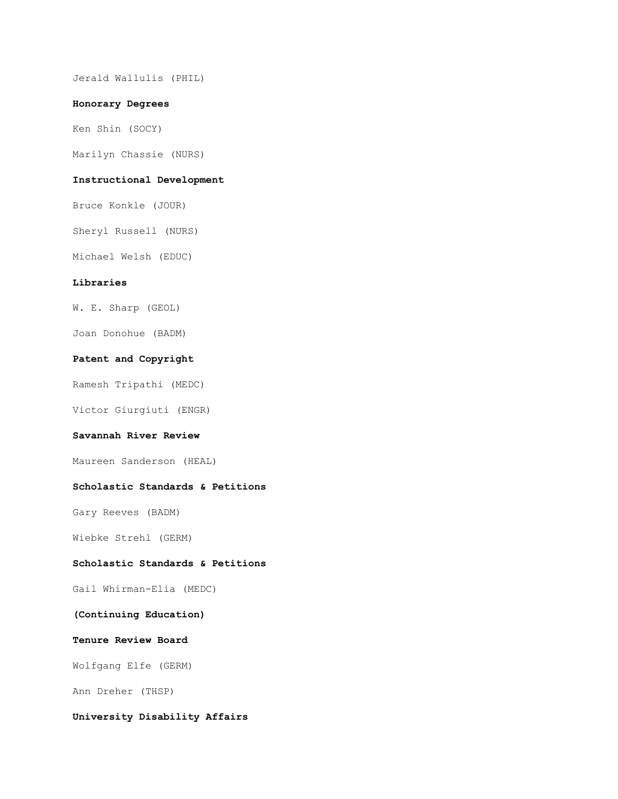Jerald Wallulis (PHIL)

#### **Honorary Degrees**

Ken Shin (SOCY)

Marilyn Chassie (NURS)

# **Instructional Development**

Bruce Konkle (JOUR)

Sheryl Russell (NURS)

Michael Welsh (EDUC)

# **Libraries**

W. E. Sharp (GEOL)

Joan Donohue (BADM)

#### **Patent and Copyright**

Ramesh Tripathi (MEDC)

Victor Giurgiuti (ENGR)

### **Savannah River Review**

Maureen Sanderson (HEAL)

### **Scholastic Standards & Petitions**

Gary Reeves (BADM)

Wiebke Strehl (GERM)

#### **Scholastic Standards & Petitions**

Gail Whirman-Elia (MEDC)

# **(Continuing Education)**

## **Tenure Review Board**

Wolfgang Elfe (GERM)

Ann Dreher (THSP)

# **University Disability Affairs**